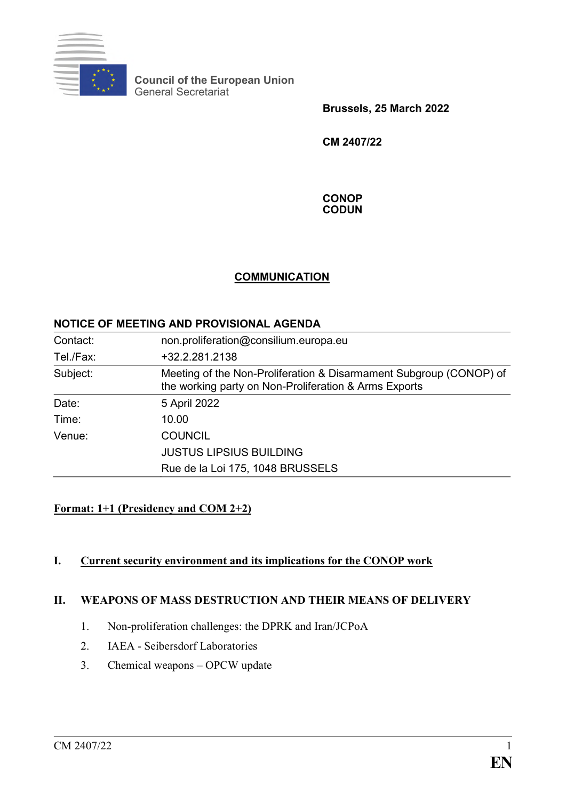

**Council of the European Union** General Secretariat

**Brussels, 25 March 2022**

**CM 2407/22**

**CONOP CODUN**

#### **COMMUNICATION**

#### **NOTICE OF MEETING AND PROVISIONAL AGENDA**

| Contact:  | non.proliferation@consilium.europa.eu                                                                                       |
|-----------|-----------------------------------------------------------------------------------------------------------------------------|
| Tel./Fax: | +32.2.281.2138                                                                                                              |
| Subject:  | Meeting of the Non-Proliferation & Disarmament Subgroup (CONOP) of<br>the working party on Non-Proliferation & Arms Exports |
| Date:     | 5 April 2022                                                                                                                |
| Time:     | 10.00                                                                                                                       |
| Venue:    | <b>COUNCIL</b>                                                                                                              |
|           | <b>JUSTUS LIPSIUS BUILDING</b>                                                                                              |
|           | Rue de la Loi 175, 1048 BRUSSELS                                                                                            |

# **Format: 1+1 (Presidency and COM 2+2)**

# **I. Current security environment and its implications for the CONOP work**

## **II. WEAPONS OF MASS DESTRUCTION AND THEIR MEANS OF DELIVERY**

- 1. Non-proliferation challenges: the DPRK and Iran/JCPoA
- 2. IAEA Seibersdorf Laboratories
- 3. Chemical weapons OPCW update